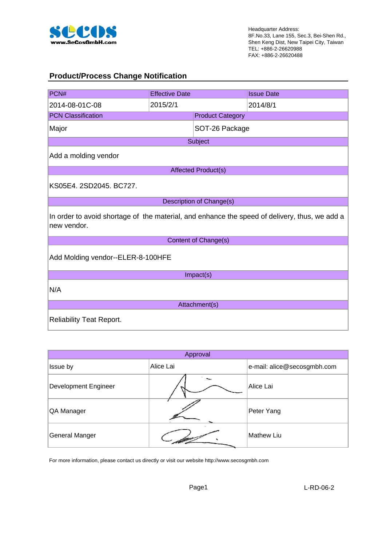

#### **Product/Process Change Notification**

| PCN#                                                                                                         | <b>Effective Date</b>             |                            | <b>Issue Date</b> |  |  |
|--------------------------------------------------------------------------------------------------------------|-----------------------------------|----------------------------|-------------------|--|--|
| 2014-08-01C-08                                                                                               | 2015/2/1                          |                            | 2014/8/1          |  |  |
| <b>PCN Classification</b>                                                                                    |                                   | <b>Product Category</b>    |                   |  |  |
| Major                                                                                                        |                                   | SOT-26 Package             |                   |  |  |
|                                                                                                              |                                   | Subject                    |                   |  |  |
| Add a molding vendor                                                                                         |                                   |                            |                   |  |  |
|                                                                                                              |                                   | <b>Affected Product(s)</b> |                   |  |  |
| KS05E4. 2SD2045. BC727.                                                                                      |                                   |                            |                   |  |  |
|                                                                                                              |                                   | Description of Change(s)   |                   |  |  |
| In order to avoid shortage of the material, and enhance the speed of delivery, thus, we add a<br>new vendor. |                                   |                            |                   |  |  |
|                                                                                                              |                                   | Content of Change(s)       |                   |  |  |
|                                                                                                              | Add Molding vendor--ELER-8-100HFE |                            |                   |  |  |
|                                                                                                              |                                   | Impact(s)                  |                   |  |  |
| N/A                                                                                                          |                                   |                            |                   |  |  |
| Attachment(s)                                                                                                |                                   |                            |                   |  |  |
| <b>Reliability Teat Report.</b>                                                                              |                                   |                            |                   |  |  |

| Approval                    |           |                             |  |  |
|-----------------------------|-----------|-----------------------------|--|--|
| Issue by                    | Alice Lai | e-mail: alice@secosgmbh.com |  |  |
| <b>Development Engineer</b> |           | Alice Lai                   |  |  |
| QA Manager                  |           | Peter Yang                  |  |  |
| General Manger              |           | <b>Mathew Liu</b>           |  |  |

For more information, please contact us directly or visit our website http://www.secosgmbh.com

Page1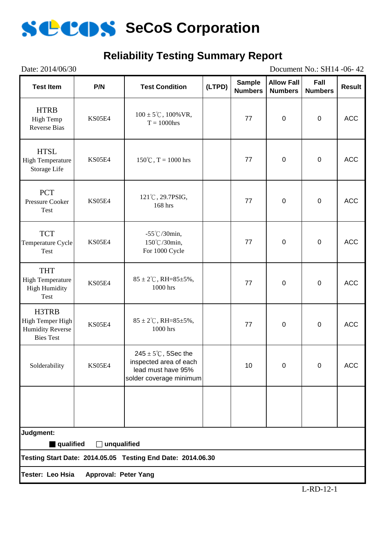

# **Reliability Testing Summary Report**

| Date: 2014/06/30<br>Document No.: SH14 -06-42                                                  |               |                                                                                                            |        |                                 |                                     |                        |               |
|------------------------------------------------------------------------------------------------|---------------|------------------------------------------------------------------------------------------------------------|--------|---------------------------------|-------------------------------------|------------------------|---------------|
| <b>Test Item</b>                                                                               | P/N           | <b>Test Condition</b>                                                                                      | (LTPD) | <b>Sample</b><br><b>Numbers</b> | <b>Allow Fall</b><br><b>Numbers</b> | Fall<br><b>Numbers</b> | <b>Result</b> |
| <b>HTRB</b><br>High Temp<br><b>Reverse Bias</b>                                                | KS05E4        | $100 \pm 5^{\circ}$ C, $100\%$ VR,<br>$T = 1000$ hrs                                                       |        | 77                              | $\pmb{0}$                           | $\pmb{0}$              | <b>ACC</b>    |
| <b>HTSL</b><br><b>High Temperature</b><br>Storage Life                                         | <b>KS05E4</b> | $150^{\circ}$ C, T = 1000 hrs                                                                              |        | 77                              | $\pmb{0}$                           | $\pmb{0}$              | <b>ACC</b>    |
| <b>PCT</b><br>Pressure Cooker<br>Test                                                          | <b>KS05E4</b> | 121°C, 29.7PSIG,<br>168 hrs                                                                                |        | 77                              | $\pmb{0}$                           | $\pmb{0}$              | <b>ACC</b>    |
| <b>TCT</b><br>Temperature Cycle<br>Test                                                        | KS05E4        | $-55^{\circ}$ C/30min,<br>150°C/30min,<br>For 1000 Cycle                                                   |        | 77                              | $\pmb{0}$                           | $\pmb{0}$              | <b>ACC</b>    |
| <b>THT</b><br><b>High Temperature</b><br><b>High Humidity</b><br>Test                          | KS05E4        | $85 \pm 2^{\circ}$ C, RH= $85 \pm 5\%$ ,<br>1000 hrs                                                       |        | 77                              | $\pmb{0}$                           | $\pmb{0}$              | <b>ACC</b>    |
| H3TRB<br>High Temper High<br><b>Humidity Reverse</b><br><b>Bies Test</b>                       | KS05E4        | $85 \pm 2^{\circ}$ C, RH= $85 \pm 5\%$ ,<br>1000 hrs                                                       |        | 77                              | $\pmb{0}$                           | $\pmb{0}$              | <b>ACC</b>    |
| Solderability                                                                                  | <b>KS05E4</b> | $245 \pm 5^{\circ}$ C, 5Sec the<br>inspected area of each<br>lead must have 95%<br>solder coverage minimum |        | 10                              | 0                                   | $\Omega$               | <b>ACC</b>    |
|                                                                                                |               |                                                                                                            |        |                                 |                                     |                        |               |
| Judgment:                                                                                      |               |                                                                                                            |        |                                 |                                     |                        |               |
| qualified<br>$\Box$ unqualified<br>Testing Start Date: 2014.05.05 Testing End Date: 2014.06.30 |               |                                                                                                            |        |                                 |                                     |                        |               |
|                                                                                                |               |                                                                                                            |        |                                 |                                     |                        |               |
| Tester: Leo Hsia<br>Approval: Peter Yang                                                       |               |                                                                                                            |        |                                 |                                     |                        |               |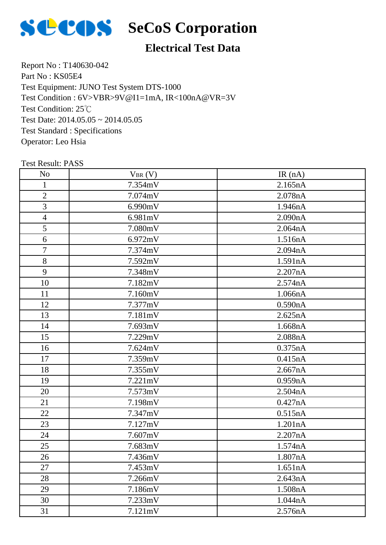

# **SCOS** SeCoS Corporation

# **Electrical Test Data**

Report No : T140630-042 Part No : KS05E4 Test Equipment: JUNO Test System DTS-1000 Test Condition: 25℃ Test Date: 2014.05.05 ~ 2014.05.05 Test Standard : Specifications Operator: Leo Hsia Test Condition : 6V>VBR>9V@I1=1mA, IR<100nA@VR=3V

| N <sub>0</sub> | $V_{BR}(V)$ | IR(nA)  |
|----------------|-------------|---------|
| $\mathbf{1}$   | 7.354mV     | 2.165nA |
| $\mathbf{2}$   | 7.074mV     | 2.078nA |
| 3              | 6.990mV     | 1.946nA |
| $\overline{4}$ | 6.981mV     | 2.090nA |
| 5              | 7.080mV     | 2.064nA |
| 6              | 6.972mV     | 1.516nA |
| $\overline{7}$ | 7.374mV     | 2.094nA |
| $8\,$          | 7.592mV     | 1.591nA |
| 9              | 7.348mV     | 2.207nA |
| 10             | 7.182mV     | 2.574nA |
| 11             | 7.160mV     | 1.066nA |
| 12             | 7.377mV     | 0.590nA |
| 13             | 7.181mV     | 2.625nA |
| 14             | 7.693mV     | 1.668nA |
| 15             | 7.229mV     | 2.088nA |
| 16             | 7.624mV     | 0.375nA |
| 17             | 7.359mV     | 0.415nA |
| 18             | 7.355mV     | 2.667nA |
| 19             | 7.221mV     | 0.959nA |
| 20             | 7.573mV     | 2.504nA |
| 21             | 7.198mV     | 0.427nA |
| 22             | 7.347mV     | 0.515nA |
| 23             | 7.127mV     | 1.201nA |
| 24             | 7.607mV     | 2.207nA |
| 25             | 7.683mV     | 1.574nA |
| 26             | 7.436mV     | 1.807nA |
| 27             | 7.453mV     | 1.651nA |
| 28             | 7.266mV     | 2.643nA |
| 29             | 7.186mV     | 1.508nA |
| 30             | 7.233mV     | 1.044nA |
| 31             | 7.121mV     | 2.576nA |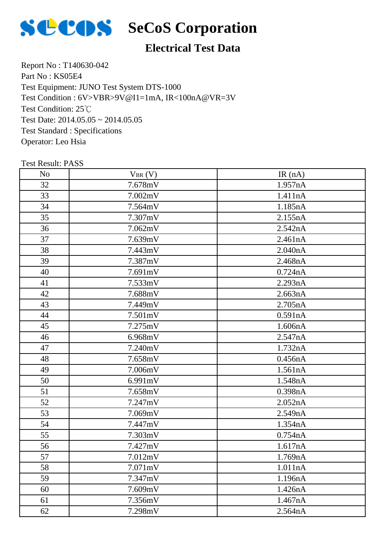

# **SCOS** SeCoS Corporation

# **Electrical Test Data**

Report No : T140630-042 Part No : KS05E4 Test Equipment: JUNO Test System DTS-1000 Test Condition: 25℃ Test Date: 2014.05.05 ~ 2014.05.05 Test Standard : Specifications Operator: Leo Hsia Test Condition : 6V>VBR>9V@I1=1mA, IR<100nA@VR=3V

| N <sub>o</sub> | $V_{BR}(V)$ | IR(nA)  |
|----------------|-------------|---------|
| 32             | 7.678mV     | 1.957nA |
| 33             | 7.002mV     | 1.411nA |
| 34             | 7.564mV     | 1.185nA |
| 35             | 7.307mV     | 2.155nA |
| 36             | 7.062mV     | 2.542nA |
| 37             | 7.639mV     | 2.461nA |
| 38             | 7.443mV     | 2.040nA |
| 39             | 7.387mV     | 2.468nA |
| 40             | 7.691mV     | 0.724nA |
| 41             | 7.533mV     | 2.293nA |
| 42             | 7.688mV     | 2.663nA |
| 43             | 7.449mV     | 2.705nA |
| 44             | 7.501mV     | 0.591nA |
| 45             | 7.275mV     | 1.606nA |
| 46             | 6.968mV     | 2.547nA |
| 47             | 7.240mV     | 1.732nA |
| 48             | 7.658mV     | 0.456nA |
| 49             | 7.006mV     | 1.561nA |
| 50             | 6.991mV     | 1.548nA |
| 51             | 7.658mV     | 0.398nA |
| 52             | 7.247mV     | 2.052nA |
| 53             | 7.069mV     | 2.549nA |
| 54             | 7.447mV     | 1.354nA |
| 55             | 7.303mV     | 0.754nA |
| 56             | 7.427mV     | 1.617nA |
| 57             | 7.012mV     | 1.769nA |
| 58             | 7.071mV     | 1.011nA |
| 59             | 7.347mV     | 1.196nA |
| 60             | 7.609mV     | 1.426nA |
| 61             | 7.356mV     | 1.467nA |
| 62             | 7.298mV     | 2.564nA |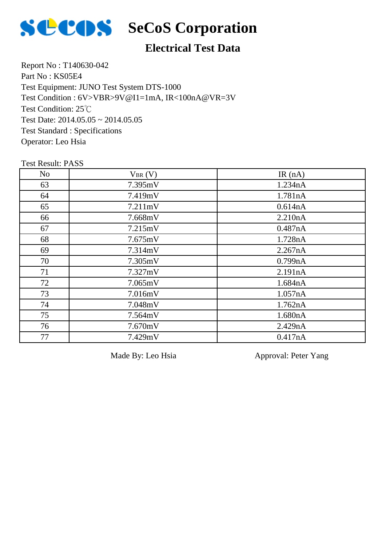

## **Electrical Test Data**

Report No : T140630-042 Part No : KS05E4 Test Equipment: JUNO Test System DTS-1000 Test Condition: 25℃ Test Date: 2014.05.05 ~ 2014.05.05 Test Standard : Specifications Operator: Leo Hsia Test Condition : 6V>VBR>9V@I1=1mA, IR<100nA@VR=3V

#### Test Result: PASS

| N <sub>o</sub> | $V_{BR}(V)$ | IR $(nA)$ |
|----------------|-------------|-----------|
| 63             | 7.395mV     | 1.234nA   |
| 64             | 7.419mV     | 1.781nA   |
| 65             | 7.211mV     | 0.614nA   |
| 66             | 7.668mV     | 2.210nA   |
| 67             | 7.215mV     | 0.487nA   |
| 68             | 7.675mV     | 1.728nA   |
| 69             | 7.314mV     | 2.267nA   |
| 70             | 7.305mV     | 0.799nA   |
| 71             | 7.327mV     | 2.191nA   |
| 72             | 7.065mV     | 1.684nA   |
| 73             | 7.016mV     | 1.057nA   |
| 74             | 7.048mV     | 1.762nA   |
| 75             | 7.564mV     | 1.680nA   |
| 76             | 7.670mV     | 2.429nA   |
| 77             | 7.429mV     | 0.417nA   |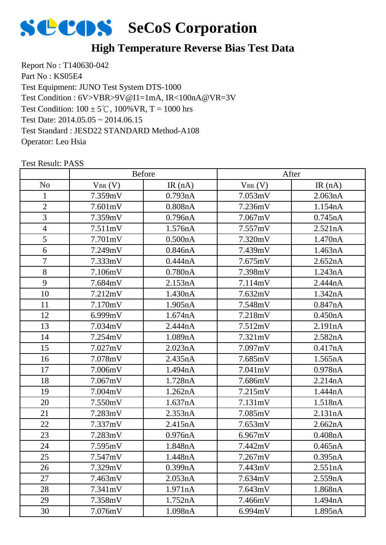

#### **High Temperature Reverse Bias Test Data**

Report No : T140630-042 Part No : KS05E4 Test Equipment: JUNO Test System DTS-1000 Test Condition:  $100 \pm 5^{\circ}$ C,  $100\%$  VR, T = 1000 hrs Test Date: 2014.05.05 ~ 2014.06.15 Test Standard : JESD22 STANDARD Method-A108 Operator: Leo Hsia Test Condition : 6V>VBR>9V@I1=1mA, IR<100nA@VR=3V

|                | Before      |           | After       |         |  |
|----------------|-------------|-----------|-------------|---------|--|
| N <sub>o</sub> | $V_{BR}(V)$ | IR $(nA)$ | $V_{BR}(V)$ | IR(nA)  |  |
| $\mathbf{1}$   | 7.359mV     | 0.793nA   | 7.053mV     | 2.063nA |  |
| $\overline{2}$ | 7.601mV     | 0.808nA   | 7.236mV     | 1.154nA |  |
| 3              | 7.359mV     | 0.796nA   | 7.067mV     | 0.745nA |  |
| $\overline{4}$ | 7.511mV     | 1.576nA   | 7.557mV     | 2.521nA |  |
| 5              | 7.701mV     | 0.500nA   | 7.320mV     | 1.470nA |  |
| 6              | 7.249mV     | 0.846nA   | 7.439mV     | 1.463nA |  |
| $\overline{7}$ | 7.333mV     | 0.444nA   | 7.675mV     | 2.652nA |  |
| 8              | 7.106mV     | 0.780nA   | 7.398mV     | 1.243nA |  |
| 9              | 7.684mV     | 2.153nA   | 7.114mV     | 2.444nA |  |
| 10             | 7.212mV     | 1.430nA   | 7.632mV     | 1.342nA |  |
| 11             | 7.170mV     | 1.905nA   | 7.548mV     | 0.847nA |  |
| 12             | 6.999mV     | 1.674nA   | 7.218mV     | 0.450nA |  |
| 13             | 7.034mV     | 2.444nA   | 7.512mV     | 2.191nA |  |
| 14             | 7.254mV     | 1.089nA   | 7.321mV     | 2.582nA |  |
| 15             | 7.027mV     | 2.023nA   | 7.097mV     | 0.417nA |  |
| 16             | 7.078mV     | 2.435nA   | 7.685mV     | 1.565nA |  |
| 17             | 7.006mV     | 1.494nA   | 7.041mV     | 0.978nA |  |
| 18             | 7.067mV     | 1.728nA   | 7.686mV     | 2.214nA |  |
| 19             | 7.004mV     | 1.262nA   | 7.215mV     | 1.444nA |  |
| 20             | 7.550mV     | 1.637nA   | 7.131mV     | 1.518nA |  |
| 21             | 7.283mV     | 2.353nA   | 7.085mV     | 2.131nA |  |
| 22             | 7.337mV     | 2.415nA   | 7.653mV     | 2.662nA |  |
| 23             | 7.283mV     | 0.976nA   | 6.967mV     | 0.408nA |  |
| 24             | 7.595mV     | 1.848nA   | 7.442mV     | 0.465nA |  |
| 25             | 7.547mV     | 1.448nA   | 7.267mV     | 0.395nA |  |
| 26             | 7.329mV     | 0.399nA   | 7.443mV     | 2.551nA |  |
| 27             | 7.463mV     | 2.053nA   | 7.634mV     | 2.559nA |  |
| 28             | 7.341mV     | 1.971nA   | 7.643mV     | 1.868nA |  |
| 29             | 7.358mV     | 1.752nA   | 7.466mV     | 1.494nA |  |
| 30             | 7.076mV     | 1.098nA   | 6.994mV     | 1.895nA |  |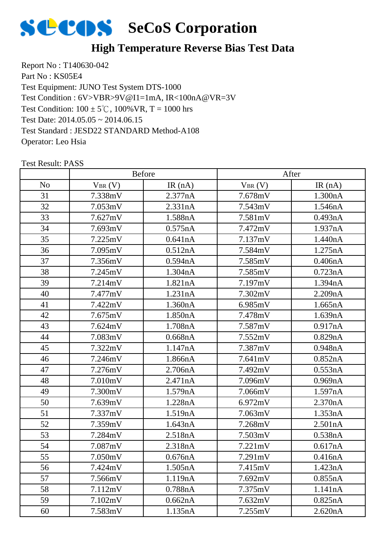

# **High Temperature Reverse Bias Test Data**

Report No : T140630-042 Part No : KS05E4 Test Equipment: JUNO Test System DTS-1000 Test Condition:  $100 \pm 5^{\circ}$ C,  $100\%$  VR, T = 1000 hrs Test Date: 2014.05.05 ~ 2014.06.15 Test Standard : JESD22 STANDARD Method-A108 Operator: Leo Hsia Test Condition : 6V>VBR>9V@I1=1mA, IR<100nA@VR=3V

|                | <b>Before</b> |           | After       |         |
|----------------|---------------|-----------|-------------|---------|
| N <sub>o</sub> | $V_{BR}(V)$   | IR $(nA)$ | $V_{BR}(V)$ | IR(nA)  |
| 31             | 7.338mV       | 2.377nA   | 7.678mV     | 1.300nA |
| 32             | 7.053mV       | 2.331nA   | 7.543mV     | 1.546nA |
| 33             | 7.627mV       | 1.588nA   | 7.581mV     | 0.493nA |
| 34             | 7.693mV       | 0.575nA   | 7.472mV     | 1.937nA |
| 35             | 7.225mV       | 0.641nA   | 7.137mV     | 1.440nA |
| 36             | 7.095mV       | 0.512nA   | 7.584mV     | 1.275nA |
| 37             | 7.356mV       | 0.594nA   | 7.585mV     | 0.406nA |
| 38             | 7.245mV       | 1.304nA   | 7.585mV     | 0.723nA |
| 39             | 7.214mV       | 1.821nA   | 7.197mV     | 1.394nA |
| 40             | 7.477mV       | 1.231nA   | 7.302mV     | 2.209nA |
| 41             | 7.422mV       | 1.360nA   | 6.985mV     | 1.665nA |
| 42             | 7.675mV       | 1.850nA   | 7.478mV     | 1.639nA |
| 43             | 7.624mV       | 1.708nA   | 7.587mV     | 0.917nA |
| 44             | 7.083mV       | 0.668nA   | 7.552mV     | 0.829nA |
| 45             | 7.322mV       | 1.147nA   | 7.387mV     | 0.948nA |
| 46             | 7.246mV       | 1.866nA   | 7.641mV     | 0.852nA |
| 47             | 7.276mV       | 2.706nA   | 7.492mV     | 0.553nA |
| 48             | 7.010mV       | 2.471nA   | 7.096mV     | 0.969nA |
| 49             | 7.300mV       | 1.579nA   | 7.066mV     | 1.597nA |
| 50             | 7.639mV       | 1.228nA   | 6.972mV     | 2.370nA |
| 51             | 7.337mV       | 1.519nA   | 7.063mV     | 1.353nA |
| 52             | 7.359mV       | 1.643nA   | 7.268mV     | 2.501nA |
| 53             | 7.284mV       | 2.518nA   | 7.503mV     | 0.538nA |
| 54             | 7.087mV       | 2.318nA   | 7.221mV     | 0.617nA |
| 55             | 7.050mV       | 0.676nA   | 7.291mV     | 0.416nA |
| 56             | 7.424mV       | 1.505nA   | 7.415mV     | 1.423nA |
| 57             | 7.566mV       | 1.119nA   | 7.692mV     | 0.855nA |
| 58             | 7.112mV       | 0.788nA   | 7.375mV     | 1.141nA |
| 59             | 7.102mV       | 0.662nA   | 7.632mV     | 0.825nA |
| 60             | 7.583mV       | 1.135nA   | 7.255mV     | 2.620nA |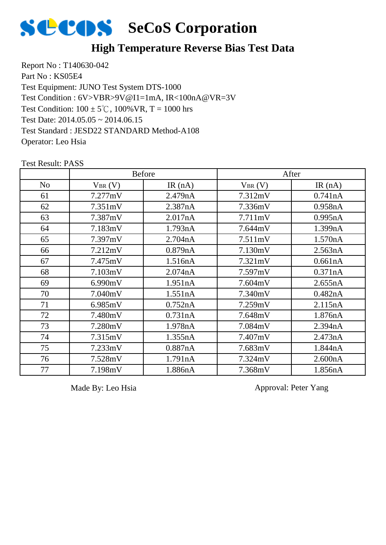

#### **High Temperature Reverse Bias Test Data**

Report No : T140630-042 Part No : KS05E4 Test Equipment: JUNO Test System DTS-1000 Test Condition:  $100 \pm 5^{\circ}$ C,  $100\%$  VR, T = 1000 hrs Test Date: 2014.05.05 ~ 2014.06.15 Test Standard : JESD22 STANDARD Method-A108 Operator: Leo Hsia Test Condition : 6V>VBR>9V@I1=1mA, IR<100nA@VR=3V

Test Result: PASS No  $V_{BR}(V)$  IR (nA)  $V_{BR}(V)$  IR (nA) Before After 7.277mV 2.479nA 7.312mV 0.741nA 7.351mV 2.387nA 7.336mV 0.958nA 7.387mV 2.017nA 7.711mV 0.995nA 7.183mV 1.793nA 7.644mV 1.399nA 7.397mV 2.704nA 7.511mV 1.570nA 7.212mV 0.879nA 7.130mV 2.563nA 7.475mV 1.516nA 7.321mV 0.661nA 7.103mV 2.074nA 7.597mV 0.371nA 6.990mV 1.951nA 7.604mV 2.655nA 7.040mV 1.551nA 7.340mV 0.482nA 6.985mV 0.752nA 7.259mV 2.115nA 7.480mV 0.731nA 7.648mV 1.876nA 7.280mV 1.978nA 7.084mV 2.394nA 7.315mV 1.355nA 7.407mV 2.473nA 7.233mV 0.887nA 7.683mV 1.844nA 7.528mV 1.791nA 7.324mV 2.600nA 7.198mV 1.886nA 7.368mV 1.856nA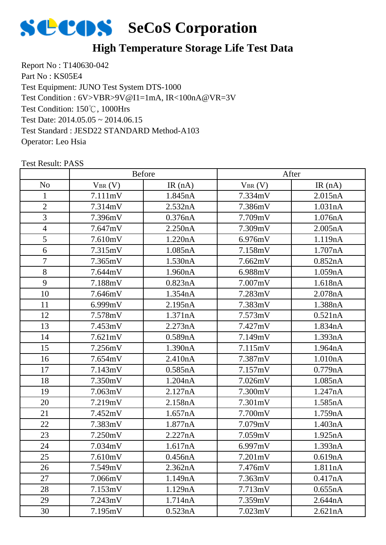

# **High Temperature Storage Life Test Data**

Report No : T140630-042 Part No : KS05E4 Test Equipment: JUNO Test System DTS-1000 Test Condition: 150℃, 1000Hrs Test Date: 2014.05.05 ~ 2014.06.15 Test Standard : JESD22 STANDARD Method-A103 Operator: Leo Hsia Test Condition : 6V>VBR>9V@I1=1mA, IR<100nA@VR=3V

|                | <b>Before</b> |           | After       |         |
|----------------|---------------|-----------|-------------|---------|
| N <sub>o</sub> | $V_{BR}(V)$   | IR $(nA)$ | $V_{BR}(V)$ | IR(nA)  |
| 1              | 7.111mV       | 1.845nA   | 7.334mV     | 2.015nA |
| $\overline{2}$ | 7.314mV       | 2.532nA   | 7.386mV     | 1.031nA |
| 3              | 7.396mV       | 0.376nA   | 7.709mV     | 1.076nA |
| $\overline{4}$ | 7.647mV       | 2.250nA   | 7.309mV     | 2.005nA |
| 5              | 7.610mV       | 1.220nA   | 6.976mV     | 1.119nA |
| 6              | 7.315mV       | 1.085nA   | 7.158mV     | 1.707nA |
| $\overline{7}$ | 7.365mV       | 1.530nA   | 7.662mV     | 0.852nA |
| 8              | 7.644mV       | 1.960nA   | 6.988mV     | 1.059nA |
| 9              | 7.188mV       | 0.823nA   | 7.007mV     | 1.618nA |
| 10             | 7.646mV       | 1.354nA   | 7.283mV     | 2.078nA |
| 11             | 6.999mV       | 2.195nA   | 7.383mV     | 1.388nA |
| 12             | 7.578mV       | 1.371nA   | 7.573mV     | 0.521nA |
| 13             | 7.453mV       | 2.273nA   | 7.427mV     | 1.834nA |
| 14             | 7.621mV       | 0.589nA   | 7.149mV     | 1.393nA |
| 15             | 7.256mV       | 1.390nA   | 7.115mV     | 1.964nA |
| 16             | 7.654mV       | 2.410nA   | 7.387mV     | 1.010nA |
| 17             | 7.143mV       | 0.585nA   | 7.157mV     | 0.779nA |
| 18             | 7.350mV       | 1.204nA   | 7.026mV     | 1.085nA |
| 19             | 7.063mV       | 2.127nA   | 7.300mV     | 1.247nA |
| 20             | 7.219mV       | 2.158nA   | 7.301mV     | 1.585nA |
| 21             | 7.452mV       | 1.657nA   | 7.700mV     | 1.759nA |
| 22             | 7.383mV       | 1.877nA   | 7.079mV     | 1.403nA |
| 23             | 7.250mV       | 2.227nA   | 7.059mV     | 1.925nA |
| 24             | 7.034mV       | 1.617nA   | 6.997mV     | 1.393nA |
| 25             | 7.610mV       | 0.456nA   | 7.201mV     | 0.619nA |
| 26             | 7.549mV       | 2.362nA   | 7.476mV     | 1.811nA |
| 27             | 7.066mV       | 1.149nA   | 7.363mV     | 0.417nA |
| 28             | 7.153mV       | 1.129nA   | 7.713mV     | 0.655nA |
| 29             | 7.243mV       | 1.714nA   | 7.359mV     | 2.644nA |
| 30             | 7.195mV       | 0.523nA   | 7.023mV     | 2.621nA |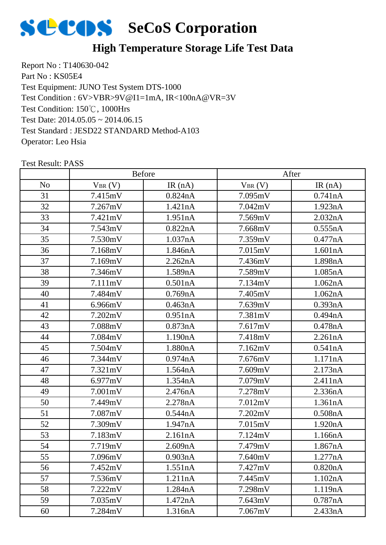

# **High Temperature Storage Life Test Data**

Report No : T140630-042 Part No : KS05E4 Test Equipment: JUNO Test System DTS-1000 Test Condition: 150℃, 1000Hrs Test Date: 2014.05.05 ~ 2014.06.15 Test Standard : JESD22 STANDARD Method-A103 Operator: Leo Hsia Test Condition : 6V>VBR>9V@I1=1mA, IR<100nA@VR=3V

|                | <b>Before</b> |           | After       |         |  |
|----------------|---------------|-----------|-------------|---------|--|
| N <sub>o</sub> | $V_{BR}(V)$   | IR $(nA)$ | $V_{BR}(V)$ | IR(nA)  |  |
| 31             | 7.415mV       | 0.824nA   | 7.095mV     | 0.741nA |  |
| 32             | 7.267mV       | 1.421nA   | 7.042mV     | 1.923nA |  |
| 33             | 7.421mV       | 1.951nA   | 7.569mV     | 2.032nA |  |
| 34             | 7.543mV       | 0.822nA   | 7.668mV     | 0.555nA |  |
| 35             | 7.530mV       | 1.037nA   | 7.359mV     | 0.477nA |  |
| 36             | 7.168mV       | 1.846nA   | 7.015mV     | 1.601nA |  |
| 37             | 7.169mV       | 2.262nA   | 7.436mV     | 1.898nA |  |
| 38             | 7.346mV       | 1.589nA   | 7.589mV     | 1.085nA |  |
| 39             | 7.111mV       | 0.501nA   | 7.134mV     | 1.062nA |  |
| 40             | 7.484mV       | 0.769nA   | 7.405mV     | 1.062nA |  |
| 41             | 6.966mV       | 0.463nA   | 7.639mV     | 0.393nA |  |
| 42             | 7.202mV       | 0.951nA   | 7.381mV     | 0.494nA |  |
| 43             | 7.088mV       | 0.873nA   | 7.617mV     | 0.478nA |  |
| 44             | 7.084mV       | 1.190nA   | 7.418mV     | 2.261nA |  |
| 45             | 7.504mV       | 1.880nA   | 7.162mV     | 0.541nA |  |
| 46             | 7.344mV       | 0.974nA   | 7.676mV     | 1.171nA |  |
| 47             | 7.321mV       | 1.564nA   | 7.609mV     | 2.173nA |  |
| 48             | 6.977mV       | 1.354nA   | 7.079mV     | 2.411nA |  |
| 49             | 7.001mV       | 2.476nA   | 7.278mV     | 2.336nA |  |
| 50             | 7.449mV       | 2.278nA   | 7.012mV     | 1.361nA |  |
| 51             | 7.087mV       | 0.544nA   | 7.202mV     | 0.508nA |  |
| 52             | 7.309mV       | 1.947nA   | 7.015mV     | 1.920nA |  |
| 53             | 7.183mV       | 2.161nA   | 7.124mV     | 1.166nA |  |
| 54             | 7.719mV       | 2.609nA   | 7.479mV     | 1.867nA |  |
| 55             | 7.096mV       | 0.903nA   | 7.640mV     | 1.277nA |  |
| 56             | 7.452mV       | 1.551nA   | 7.427mV     | 0.820nA |  |
| 57             | 7.536mV       | 1.211nA   | 7.445mV     | 1.102nA |  |
| 58             | 7.222mV       | 1.284nA   | 7.298mV     | 1.119nA |  |
| 59             | 7.035mV       | 1.472nA   | 7.643mV     | 0.787nA |  |
| 60             | 7.284mV       | 1.316nA   | 7.067mV     | 2.433nA |  |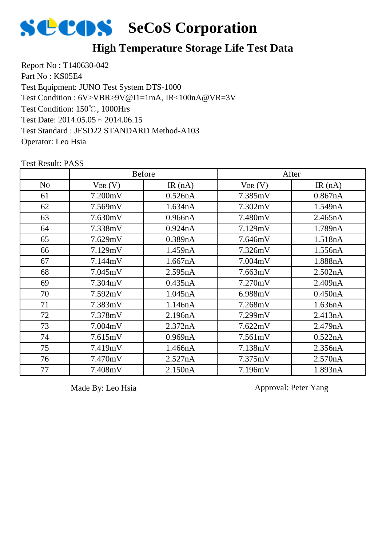

#### **High Temperature Storage Life Test Data**

Report No : T140630-042 Part No : KS05E4 Test Equipment: JUNO Test System DTS-1000 Test Condition: 150℃, 1000Hrs Test Date: 2014.05.05 ~ 2014.06.15 Test Standard : JESD22 STANDARD Method-A103 Operator: Leo Hsia Test Condition : 6V>VBR>9V@I1=1mA, IR<100nA@VR=3V

|                | <b>Before</b> |           | After       |         |
|----------------|---------------|-----------|-------------|---------|
| N <sub>o</sub> | $V_{BR}(V)$   | IR $(nA)$ | $V_{BR}(V)$ | IR(nA)  |
| 61             | 7.200mV       | 0.526nA   | 7.385mV     | 0.867nA |
| 62             | 7.569mV       | 1.634nA   | 7.302mV     | 1.549nA |
| 63             | 7.630mV       | 0.966nA   | 7.480mV     | 2.465nA |
| 64             | 7.338mV       | 0.924nA   | 7.129mV     | 1.789nA |
| 65             | 7.629mV       | 0.389nA   | 7.646mV     | 1.518nA |
| 66             | 7.129mV       | 1.459nA   | 7.326mV     | 1.556nA |
| 67             | 7.144mV       | 1.667nA   | 7.004mV     | 1.888nA |
| 68             | 7.045mV       | 2.595nA   | 7.663mV     | 2.502nA |
| 69             | 7.304mV       | 0.435nA   | 7.270mV     | 2.409nA |
| 70             | 7.592mV       | 1.045nA   | 6.988mV     | 0.450nA |
| 71             | 7.383mV       | 1.146nA   | 7.268mV     | 1.636nA |
| 72             | 7.378mV       | 2.196nA   | 7.299mV     | 2.413nA |
| 73             | 7.004mV       | 2.372nA   | 7.622mV     | 2.479nA |
| 74             | 7.615mV       | 0.969nA   | 7.561mV     | 0.522nA |
| 75             | 7.419mV       | 1.466nA   | 7.138mV     | 2.356nA |
| 76             | 7.470mV       | 2.527nA   | 7.375mV     | 2.570nA |
| 77             | 7.408mV       | 2.150nA   | 7.196mV     | 1.893nA |

Test Result: PASS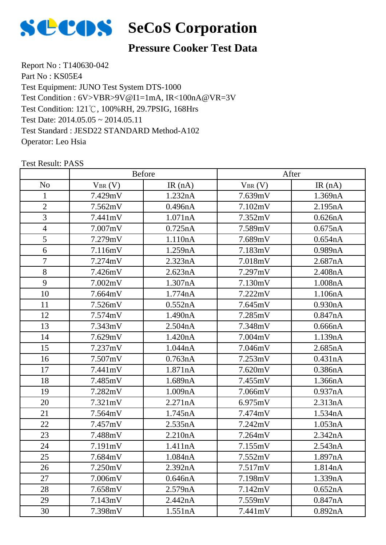

#### **Pressure Cooker Test Data**

Report No : T140630-042 Part No : KS05E4 Test Equipment: JUNO Test System DTS-1000 Test Condition: 121℃, 100%RH, 29.7PSIG, 168Hrs Test Date: 2014.05.05 ~ 2014.05.11 Test Standard : JESD22 STANDARD Method-A102 Operator: Leo Hsia Test Condition : 6V>VBR>9V@I1=1mA, IR<100nA@VR=3V

|                | Before      |           | After       |         |
|----------------|-------------|-----------|-------------|---------|
| N <sub>o</sub> | $V_{BR}(V)$ | IR $(nA)$ | $V_{BR}(V)$ | IR(nA)  |
| $\mathbf{1}$   | 7.429mV     | 1.232nA   | 7.639mV     | 1.369nA |
| $\overline{2}$ | 7.562mV     | 0.496nA   | 7.102mV     | 2.195nA |
| 3              | 7.441mV     | 1.071nA   | 7.352mV     | 0.626nA |
| $\overline{4}$ | 7.007mV     | 0.725nA   | 7.589mV     | 0.675nA |
| 5              | 7.279mV     | 1.110nA   | 7.689mV     | 0.654nA |
| 6              | 7.116mV     | 1.259nA   | 7.183mV     | 0.989nA |
| $\overline{7}$ | 7.274mV     | 2.323nA   | 7.018mV     | 2.687nA |
| 8              | 7.426mV     | 2.623nA   | 7.297mV     | 2.408nA |
| 9              | 7.002mV     | 1.307nA   | 7.130mV     | 1.008nA |
| 10             | 7.664mV     | 1.774nA   | 7.222mV     | 1.106nA |
| 11             | 7.526mV     | 0.552nA   | 7.645mV     | 0.930nA |
| 12             | 7.574mV     | 1.490nA   | 7.285mV     | 0.847nA |
| 13             | 7.343mV     | 2.504nA   | 7.348mV     | 0.666nA |
| 14             | 7.629mV     | 1.420nA   | 7.004mV     | 1.139nA |
| 15             | 7.237mV     | 1.044nA   | 7.046mV     | 2.685nA |
| 16             | 7.507mV     | 0.763nA   | 7.253mV     | 0.431nA |
| 17             | 7.441mV     | 1.871nA   | 7.620mV     | 0.386nA |
| 18             | 7.485mV     | 1.689nA   | 7.455mV     | 1.366nA |
| 19             | 7.282mV     | 1.009nA   | 7.066mV     | 0.937nA |
| 20             | 7.321mV     | 2.271nA   | 6.975mV     | 2.313nA |
| 21             | 7.564mV     | 1.745nA   | 7.474mV     | 1.534nA |
| 22             | 7.457mV     | 2.535nA   | 7.242mV     | 1.053nA |
| 23             | 7.488mV     | 2.210nA   | 7.264mV     | 2.342nA |
| 24             | 7.191mV     | 1.411nA   | 7.155mV     | 2.543nA |
| 25             | 7.684mV     | 1.084nA   | 7.552mV     | 1.897nA |
| 26             | 7.250mV     | 2.392nA   | 7.517mV     | 1.814nA |
| 27             | 7.006mV     | 0.646nA   | 7.198mV     | 1.339nA |
| 28             | 7.658mV     | 2.579nA   | 7.142mV     | 0.652nA |
| 29             | 7.143mV     | 2.442nA   | 7.559mV     | 0.847nA |
| 30             | 7.398mV     | 1.551nA   | 7.441mV     | 0.892nA |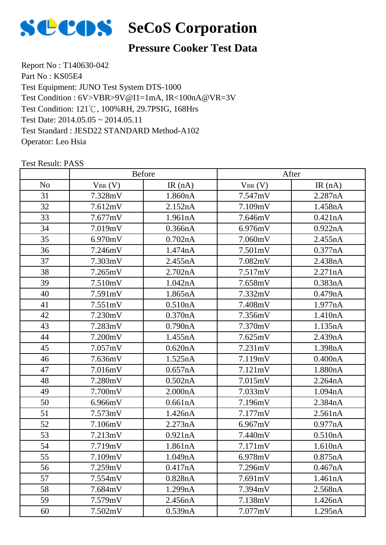

#### **Pressure Cooker Test Data**

Report No : T140630-042 Part No : KS05E4 Test Equipment: JUNO Test System DTS-1000 Test Condition: 121℃, 100%RH, 29.7PSIG, 168Hrs Test Date: 2014.05.05 ~ 2014.05.11 Test Standard : JESD22 STANDARD Method-A102 Operator: Leo Hsia Test Condition : 6V>VBR>9V@I1=1mA, IR<100nA@VR=3V

|                |             | Before  |             | After   |
|----------------|-------------|---------|-------------|---------|
| N <sub>o</sub> | $V_{BR}(V)$ | IR(nA)  | $V_{BR}(V)$ | IR(nA)  |
| 31             | 7.328mV     | 1.860nA | 7.547mV     | 2.287nA |
| 32             | 7.612mV     | 2.152nA | 7.109mV     | 1.458nA |
| 33             | 7.677mV     | 1.961nA | 7.646mV     | 0.421nA |
| 34             | 7.019mV     | 0.366nA | 6.976mV     | 0.922nA |
| 35             | 6.970mV     | 0.702nA | 7.060mV     | 2.455nA |
| 36             | 7.246mV     | 1.474nA | 7.501mV     | 0.377nA |
| 37             | 7.303mV     | 2.455nA | 7.082mV     | 2.438nA |
| 38             | 7.265mV     | 2.702nA | 7.517mV     | 2.271nA |
| 39             | 7.510mV     | 1.042nA | 7.658mV     | 0.383nA |
| 40             | 7.591mV     | 1.865nA | 7.332mV     | 0.479nA |
| 41             | 7.551mV     | 0.510nA | 7.408mV     | 1.977nA |
| 42             | 7.230mV     | 0.370nA | 7.356mV     | 1.410nA |
| 43             | 7.283mV     | 0.790nA | 7.370mV     | 1.135nA |
| 44             | 7.200mV     | 1.455nA | 7.625mV     | 2.439nA |
| 45             | 7.057mV     | 0.620nA | 7.231mV     | 1.398nA |
| 46             | 7.636mV     | 1.525nA | 7.119mV     | 0.400nA |
| 47             | 7.016mV     | 0.657nA | 7.121mV     | 1.880nA |
| 48             | 7.280mV     | 0.502nA | 7.015mV     | 2.264nA |
| 49             | 7.700mV     | 2.000nA | 7.033mV     | 1.094nA |
| 50             | 6.966mV     | 0.661nA | 7.196mV     | 2.384nA |
| 51             | 7.573mV     | 1.426nA | 7.177mV     | 2.561nA |
| 52             | 7.106mV     | 2.273nA | 6.967mV     | 0.977nA |
| 53             | 7.213mV     | 0.921nA | 7.440mV     | 0.510nA |
| 54             | 7.719mV     | 1.861nA | 7.171mV     | 1.610nA |
| 55             | 7.109mV     | 1.049nA | 6.978mV     | 0.875nA |
| 56             | 7.259mV     | 0.417nA | 7.296mV     | 0.467nA |
| 57             | 7.554mV     | 0.828nA | 7.691mV     | 1.461nA |
| 58             | 7.684mV     | 1.299nA | 7.394mV     | 2.568nA |
| 59             | 7.579mV     | 2.456nA | 7.138mV     | 1.426nA |
| 60             | 7.502mV     | 0.539nA | 7.077mV     | 1.295nA |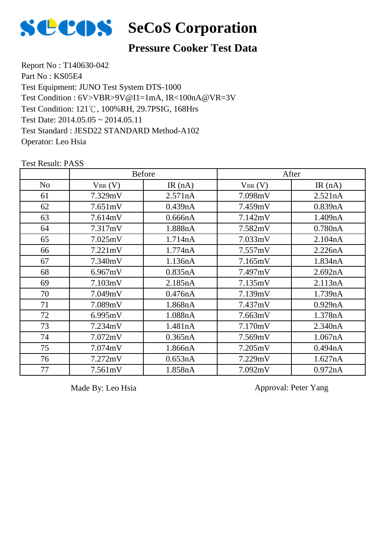

# **SCOS** SeCoS Corporation

#### **Pressure Cooker Test Data**

Report No : T140630-042 Part No : KS05E4 Test Equipment: JUNO Test System DTS-1000 Test Condition: 121℃, 100%RH, 29.7PSIG, 168Hrs Test Date: 2014.05.05 ~ 2014.05.11 Test Standard : JESD22 STANDARD Method-A102 Operator: Leo Hsia Test Condition : 6V>VBR>9V@I1=1mA, IR<100nA@VR=3V

|                |             | <b>Before</b> |             | After     |
|----------------|-------------|---------------|-------------|-----------|
| N <sub>o</sub> | $V_{BR}(V)$ | IR(nA)        | $V_{BR}(V)$ | IR $(nA)$ |
| 61             | 7.329mV     | 2.571nA       | 7.098mV     | 2.521nA   |
| 62             | 7.651mV     | 0.439nA       | 7.459mV     | 0.839nA   |
| 63             | 7.614mV     | 0.666nA       | 7.142mV     | 1.409nA   |
| 64             | 7.317mV     | 1.888nA       | 7.582mV     | 0.780nA   |
| 65             | 7.025mV     | 1.714nA       | 7.033mV     | 2.104nA   |
| 66             | 7.221mV     | 1.774nA       | 7.557mV     | 2.226nA   |
| 67             | 7.340mV     | 1.136nA       | 7.165mV     | 1.834nA   |
| 68             | 6.967mV     | 0.835nA       | 7.497mV     | 2.692nA   |
| 69             | 7.103mV     | 2.185nA       | 7.135mV     | 2.113nA   |
| 70             | 7.049mV     | 0.476nA       | 7.139mV     | 1.739nA   |
| 71             | 7.089mV     | 1.868nA       | 7.437mV     | 0.929nA   |
| 72             | 6.995mV     | 1.088nA       | 7.663mV     | 1.378nA   |
| 73             | 7.234mV     | 1.481nA       | 7.170mV     | 2.340nA   |
| 74             | 7.072mV     | 0.365nA       | 7.569mV     | 1.067nA   |
| 75             | 7.074mV     | 1.866nA       | 7.205mV     | 0.494nA   |
| 76             | 7.272mV     | 0.653nA       | 7.229mV     | 1.627nA   |
| 77             | 7.561mV     | 1.858nA       | 7.092mV     | 0.972nA   |

Test Result: PASS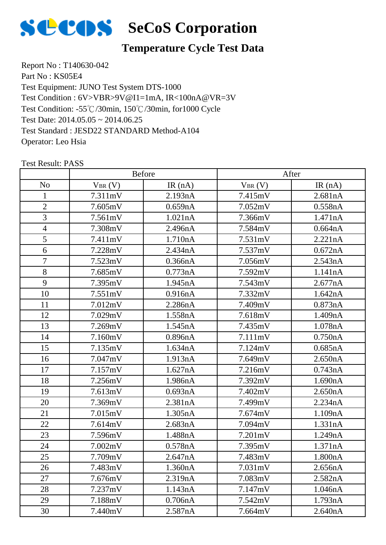

# **Temperature Cycle Test Data**

Report No : T140630-042 Part No : KS05E4 Test Equipment: JUNO Test System DTS-1000 Test Condition: -55℃/30min, 150℃/30min, for1000 Cycle Test Date: 2014.05.05 ~ 2014.06.25 Test Standard : JESD22 STANDARD Method-A104 Operator: Leo Hsia Test Condition : 6V>VBR>9V@I1=1mA, IR<100nA@VR=3V

|                |             | <b>Before</b> |             | After   |
|----------------|-------------|---------------|-------------|---------|
| N <sub>o</sub> | $V_{BR}(V)$ | IR $(nA)$     | $V_{BR}(V)$ | IR(nA)  |
| 1              | 7.311mV     | 2.193nA       | 7.415mV     | 2.681nA |
| $\overline{2}$ | 7.605mV     | 0.659nA       | 7.052mV     | 0.558nA |
| 3              | 7.561mV     | 1.021nA       | 7.366mV     | 1.471nA |
| $\overline{4}$ | 7.308mV     | 2.496nA       | 7.584mV     | 0.664nA |
| 5              | 7.411mV     | 1.710nA       | 7.531mV     | 2.221nA |
| 6              | 7.228mV     | 2.434nA       | 7.537mV     | 0.672nA |
| $\overline{7}$ | 7.523mV     | 0.366nA       | 7.056mV     | 2.543nA |
| 8              | 7.685mV     | 0.773nA       | 7.592mV     | 1.141nA |
| 9              | 7.395mV     | 1.945nA       | 7.543mV     | 2.677nA |
| 10             | 7.551mV     | 0.916nA       | 7.332mV     | 1.642nA |
| 11             | 7.012mV     | 2.286nA       | 7.409mV     | 0.873nA |
| 12             | 7.029mV     | 1.558nA       | 7.618mV     | 1.409nA |
| 13             | 7.269mV     | 1.545nA       | 7.435mV     | 1.078nA |
| 14             | 7.160mV     | 0.896nA       | 7.111mV     | 0.750nA |
| 15             | 7.135mV     | 1.634nA       | 7.124mV     | 0.685nA |
| 16             | 7.047mV     | 1.913nA       | 7.649mV     | 2.650nA |
| 17             | 7.157mV     | 1.627nA       | 7.216mV     | 0.743nA |
| 18             | 7.256mV     | 1.986nA       | 7.392mV     | 1.690nA |
| 19             | 7.613mV     | 0.693nA       | 7.402mV     | 2.650nA |
| 20             | 7.369mV     | 2.381nA       | 7.499mV     | 2.234nA |
| 21             | 7.015mV     | 1.305nA       | 7.674mV     | 1.109nA |
| 22             | 7.614mV     | 2.683nA       | 7.094mV     | 1.331nA |
| 23             | 7.596mV     | 1.488nA       | 7.201mV     | 1.249nA |
| 24             | 7.002mV     | 0.578nA       | 7.395mV     | 1.371nA |
| 25             | 7.709mV     | 2.647nA       | 7.483mV     | 1.800nA |
| 26             | 7.483mV     | 1.360nA       | 7.031mV     | 2.656nA |
| 27             | 7.676mV     | 2.319nA       | 7.083mV     | 2.582nA |
| 28             | 7.237mV     | 1.143nA       | 7.147mV     | 1.046nA |
| 29             | 7.188mV     | 0.706nA       | 7.542mV     | 1.793nA |
| 30             | 7.440mV     | 2.587nA       | 7.664mV     | 2.640nA |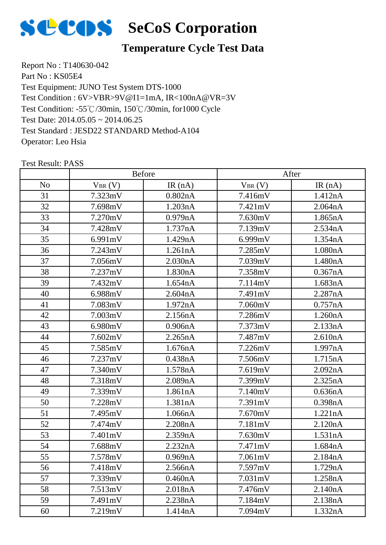

# **Temperature Cycle Test Data**

Report No : T140630-042 Part No : KS05E4 Test Equipment: JUNO Test System DTS-1000 Test Condition: -55℃/30min, 150℃/30min, for1000 Cycle Test Date: 2014.05.05 ~ 2014.06.25 Test Standard : JESD22 STANDARD Method-A104 Operator: Leo Hsia Test Condition : 6V>VBR>9V@I1=1mA, IR<100nA@VR=3V

|                |             | <b>Before</b> |             | After   |
|----------------|-------------|---------------|-------------|---------|
| N <sub>o</sub> | $V_{BR}(V)$ | IR $(nA)$     | $V_{BR}(V)$ | IR(nA)  |
| 31             | 7.323mV     | 0.802nA       | 7.416mV     | 1.412nA |
| 32             | 7.698mV     | 1.203nA       | 7.421mV     | 2.064nA |
| 33             | 7.270mV     | 0.979nA       | 7.630mV     | 1.865nA |
| 34             | 7.428mV     | 1.737nA       | 7.139mV     | 2.534nA |
| 35             | 6.991mV     | 1.429nA       | 6.999mV     | 1.354nA |
| 36             | 7.243mV     | 1.261nA       | 7.285mV     | 1.080nA |
| 37             | 7.056mV     | 2.030nA       | 7.039mV     | 1.480nA |
| 38             | 7.237mV     | 1.830nA       | 7.358mV     | 0.367nA |
| 39             | 7.432mV     | 1.654nA       | 7.114mV     | 1.683nA |
| 40             | 6.988mV     | 2.604nA       | 7.491mV     | 2.287nA |
| 41             | 7.083mV     | 1.972nA       | 7.060mV     | 0.757nA |
| 42             | 7.003mV     | 2.156nA       | 7.286mV     | 1.260nA |
| 43             | 6.980mV     | 0.906nA       | 7.373mV     | 2.133nA |
| 44             | 7.602mV     | 2.265nA       | 7.487mV     | 2.610nA |
| 45             | 7.585mV     | 1.676nA       | 7.226mV     | 1.997nA |
| 46             | 7.237mV     | 0.438nA       | 7.506mV     | 1.715nA |
| 47             | 7.340mV     | 1.578nA       | 7.619mV     | 2.092nA |
| 48             | 7.318mV     | 2.089nA       | 7.399mV     | 2.325nA |
| 49             | 7.339mV     | 1.861nA       | 7.140mV     | 0.636nA |
| 50             | 7.228mV     | 1.381nA       | 7.391mV     | 0.398nA |
| 51             | 7.495mV     | 1.066nA       | 7.670mV     | 1.221nA |
| 52             | 7.474mV     | 2.208nA       | 7.181mV     | 2.120nA |
| 53             | 7.401mV     | 2.359nA       | 7.630mV     | 1.531nA |
| 54             | 7.688mV     | 2.232nA       | 7.471mV     | 1.684nA |
| 55             | 7.578mV     | 0.969nA       | 7.061mV     | 2.184nA |
| 56             | 7.418mV     | 2.566nA       | 7.597mV     | 1.729nA |
| 57             | 7.339mV     | 0.460nA       | 7.031mV     | 1.258nA |
| 58             | 7.513mV     | 2.018nA       | 7.476mV     | 2.140nA |
| 59             | 7.491mV     | 2.238nA       | 7.184mV     | 2.138nA |
| 60             | 7.219mV     | 1.414nA       | 7.094mV     | 1.332nA |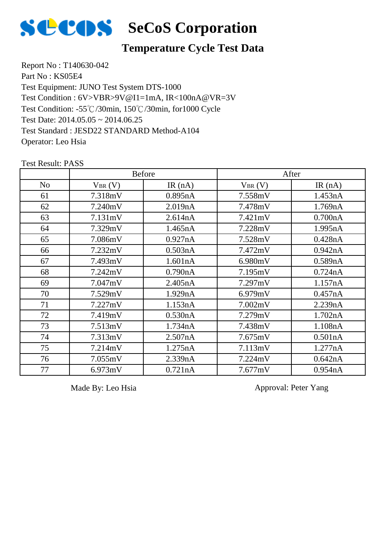

## **Temperature Cycle Test Data**

Report No : T140630-042 Part No : KS05E4 Test Equipment: JUNO Test System DTS-1000 Test Condition: -55℃/30min, 150℃/30min, for1000 Cycle Test Date: 2014.05.05 ~ 2014.06.25 Test Standard : JESD22 STANDARD Method-A104 Operator: Leo Hsia Test Condition : 6V>VBR>9V@I1=1mA, IR<100nA@VR=3V

|                |             | <b>Before</b> |             | After     |
|----------------|-------------|---------------|-------------|-----------|
| N <sub>o</sub> | $V_{BR}(V)$ | IR $(nA)$     | $V_{BR}(V)$ | IR $(nA)$ |
| 61             | 7.318mV     | 0.895nA       | 7.558mV     | 1.453nA   |
| 62             | 7.240mV     | 2.019nA       | 7.478mV     | 1.769nA   |
| 63             | 7.131mV     | 2.614nA       | 7.421mV     | 0.700nA   |
| 64             | 7.329mV     | 1.465nA       | 7.228mV     | 1.995nA   |
| 65             | 7.086mV     | 0.927nA       | 7.528mV     | 0.428nA   |
| 66             | 7.232mV     | 0.503nA       | 7.472mV     | 0.942nA   |
| 67             | 7.493mV     | 1.601nA       | 6.980mV     | 0.589nA   |
| 68             | 7.242mV     | 0.790nA       | 7.195mV     | 0.724nA   |
| 69             | 7.047mV     | 2.405nA       | 7.297mV     | 1.157nA   |
| 70             | 7.529mV     | 1.929nA       | 6.979mV     | 0.457nA   |
| 71             | 7.227mV     | 1.153nA       | 7.002mV     | 2.239nA   |
| 72             | 7.419mV     | 0.530nA       | 7.279mV     | 1.702nA   |
| 73             | 7.513mV     | 1.734nA       | 7.438mV     | 1.108nA   |
| 74             | 7.313mV     | 2.507nA       | 7.675mV     | 0.501nA   |
| 75             | 7.214mV     | 1.275nA       | 7.113mV     | 1.277nA   |
| 76             | 7.055mV     | 2.339nA       | 7.224mV     | 0.642nA   |
| 77             | 6.973mV     | 0.721nA       | 7.677mV     | 0.954nA   |

Test Result: PASS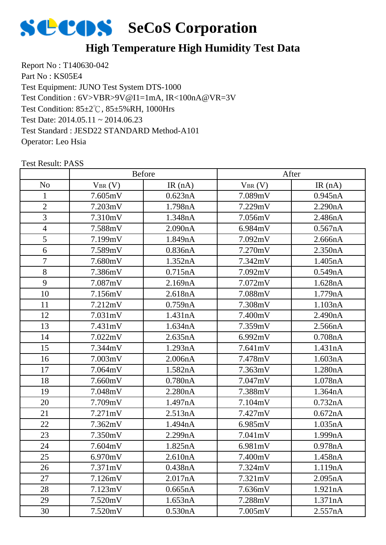

## **High Temperature High Humidity Test Data**

Report No : T140630-042 Part No : KS05E4 Test Equipment: JUNO Test System DTS-1000 Test Condition: 85±2℃, 85±5%RH, 1000Hrs Test Date: 2014.05.11 ~ 2014.06.23 Test Standard : JESD22 STANDARD Method-A101 Operator: Leo Hsia Test Condition : 6V>VBR>9V@I1=1mA, IR<100nA@VR=3V

|                |             | <b>Before</b> |             | After   |
|----------------|-------------|---------------|-------------|---------|
| N <sub>o</sub> | $V_{BR}(V)$ | IR $(nA)$     | $V_{BR}(V)$ | IR(nA)  |
| 1              | 7.605mV     | 0.623nA       | 7.089mV     | 0.945nA |
| $\overline{2}$ | 7.203mV     | 1.798nA       | 7.229mV     | 2.290nA |
| 3              | 7.310mV     | 1.348nA       | 7.056mV     | 2.486nA |
| $\overline{4}$ | 7.588mV     | 2.090nA       | 6.984mV     | 0.567nA |
| 5              | 7.199mV     | 1.849nA       | 7.092mV     | 2.666nA |
| 6              | 7.589mV     | 0.836nA       | 7.270mV     | 2.350nA |
| $\tau$         | 7.680mV     | 1.352nA       | 7.342mV     | 1.405nA |
| 8              | 7.386mV     | 0.715nA       | 7.092mV     | 0.549nA |
| 9              | 7.087mV     | 2.169nA       | 7.072mV     | 1.628nA |
| 10             | 7.156mV     | 2.618nA       | 7.088mV     | 1.779nA |
| 11             | 7.212mV     | 0.759nA       | 7.308mV     | 1.103nA |
| 12             | 7.031mV     | 1.431nA       | 7.400mV     | 2.490nA |
| 13             | 7.431mV     | 1.634nA       | 7.359mV     | 2.566nA |
| 14             | 7.022mV     | 2.635nA       | 6.992mV     | 0.708nA |
| 15             | 7.344mV     | 1.293nA       | 7.641mV     | 1.431nA |
| 16             | 7.003mV     | 2.006nA       | 7.478mV     | 1.603nA |
| 17             | 7.064mV     | 1.582nA       | 7.363mV     | 1.280nA |
| 18             | 7.660mV     | 0.780nA       | 7.047mV     | 1.078nA |
| 19             | 7.048mV     | 2.280nA       | 7.388mV     | 1.364nA |
| 20             | 7.709mV     | 1.497nA       | 7.104mV     | 0.732nA |
| 21             | 7.271mV     | 2.513nA       | 7.427mV     | 0.672nA |
| 22             | 7.362mV     | 1.494nA       | 6.985mV     | 1.035nA |
| 23             | 7.350mV     | 2.299nA       | 7.041mV     | 1.999nA |
| 24             | 7.604mV     | 1.825nA       | 6.981mV     | 0.978nA |
| 25             | 6.970mV     | 2.610nA       | 7.400mV     | 1.458nA |
| 26             | 7.371mV     | 0.438nA       | 7.324mV     | 1.119nA |
| 27             | 7.126mV     | 2.017nA       | 7.321mV     | 2.095nA |
| 28             | 7.123mV     | 0.665nA       | 7.636mV     | 1.921nA |
| 29             | 7.520mV     | 1.653nA       | 7.288mV     | 1.371nA |
| 30             | 7.520mV     | 0.530nA       | 7.005mV     | 2.557nA |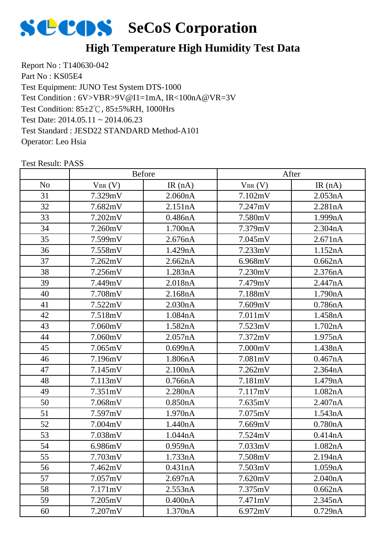

## **High Temperature High Humidity Test Data**

Report No : T140630-042 Part No : KS05E4 Test Equipment: JUNO Test System DTS-1000 Test Condition: 85±2℃, 85±5%RH, 1000Hrs Test Date: 2014.05.11 ~ 2014.06.23 Test Standard : JESD22 STANDARD Method-A101 Operator: Leo Hsia Test Condition : 6V>VBR>9V@I1=1mA, IR<100nA@VR=3V

|                |             | <b>Before</b> |             | After   |
|----------------|-------------|---------------|-------------|---------|
| N <sub>0</sub> | $V_{BR}(V)$ | IR $(nA)$     | $V_{BR}(V)$ | IR(nA)  |
| 31             | 7.329mV     | 2.060nA       | 7.102mV     | 2.053nA |
| 32             | 7.682mV     | 2.151nA       | 7.247mV     | 2.281nA |
| 33             | 7.202mV     | 0.486nA       | 7.580mV     | 1.999nA |
| 34             | 7.260mV     | 1.700nA       | 7.379mV     | 2.304nA |
| 35             | 7.599mV     | 2.676nA       | 7.045mV     | 2.671nA |
| 36             | 7.558mV     | 1.429nA       | 7.233mV     | 1.152nA |
| 37             | 7.262mV     | 2.662nA       | 6.968mV     | 0.662nA |
| 38             | 7.256mV     | 1.283nA       | 7.230mV     | 2.376nA |
| 39             | 7.449mV     | 2.018nA       | 7.479mV     | 2.447nA |
| 40             | 7.708mV     | 2.168nA       | 7.188mV     | 1.790nA |
| 41             | 7.522mV     | 2.030nA       | 7.609mV     | 0.786nA |
| 42             | 7.518mV     | 1.084nA       | 7.011mV     | 1.458nA |
| 43             | 7.060mV     | 1.582nA       | 7.523mV     | 1.702nA |
| 44             | 7.060mV     | 2.057nA       | 7.372mV     | 1.975nA |
| 45             | 7.065mV     | 0.699nA       | 7.000mV     | 1.438nA |
| 46             | 7.196mV     | 1.806nA       | 7.081mV     | 0.467nA |
| 47             | 7.145mV     | 2.100nA       | 7.262mV     | 2.364nA |
| 48             | 7.113mV     | 0.766nA       | 7.181mV     | 1.479nA |
| 49             | 7.351mV     | 2.280nA       | 7.117mV     | 1.082nA |
| 50             | 7.068mV     | 0.850nA       | 7.635mV     | 2.407nA |
| 51             | 7.597mV     | 1.970nA       | 7.075mV     | 1.543nA |
| 52             | 7.004mV     | 1.440nA       | 7.669mV     | 0.780nA |
| 53             | 7.038mV     | 1.044nA       | 7.524mV     | 0.414nA |
| 54             | 6.986mV     | 0.959nA       | 7.033mV     | 1.082nA |
| 55             | 7.703mV     | 1.733nA       | 7.508mV     | 2.194nA |
| 56             | 7.462mV     | 0.431nA       | 7.503mV     | 1.059nA |
| 57             | 7.057mV     | 2.697nA       | 7.620mV     | 2.040nA |
| 58             | 7.171mV     | 2.553nA       | 7.375mV     | 0.662nA |
| 59             | 7.205mV     | 0.400nA       | 7.471mV     | 2.345nA |
| 60             | 7.207mV     | 1.370nA       | 6.972mV     | 0.729nA |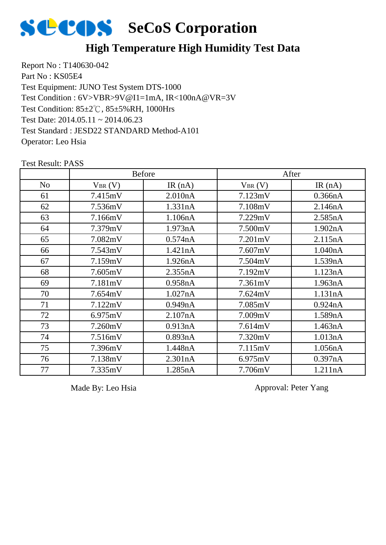

## **High Temperature High Humidity Test Data**

Report No : T140630-042 Part No : KS05E4 Test Equipment: JUNO Test System DTS-1000 Test Condition: 85±2℃, 85±5%RH, 1000Hrs Test Date: 2014.05.11 ~ 2014.06.23 Test Standard : JESD22 STANDARD Method-A101 Operator: Leo Hsia Test Condition : 6V>VBR>9V@I1=1mA, IR<100nA@VR=3V

|                |             | <b>Before</b> |                   | After     |
|----------------|-------------|---------------|-------------------|-----------|
| N <sub>o</sub> | $V_{BR}(V)$ | IR $(nA)$     | $V_{BR}(V)$       | IR $(nA)$ |
| 61             | 7.415mV     | 2.010nA       | 7.123mV           | 0.366nA   |
| 62             | 7.536mV     | 1.331nA       | 7.108mV           | 2.146nA   |
| 63             | 7.166mV     | 1.106nA       | 7.229mV           | 2.585nA   |
| 64             | 7.379mV     | 1.973nA       | 7.500mV           | 1.902nA   |
| 65             | 7.082mV     | 0.574nA       | $7.201 \text{mV}$ | 2.115nA   |
| 66             | 7.543mV     | 1.421nA       | 7.607mV           | 1.040nA   |
| 67             | 7.159mV     | 1.926nA       | 7.504mV           | 1.539nA   |
| 68             | 7.605mV     | 2.355nA       | 7.192mV           | 1.123nA   |
| 69             | 7.181mV     | 0.958nA       | 7.361mV           | 1.963nA   |
| 70             | 7.654mV     | 1.027nA       | 7.624mV           | 1.131nA   |
| 71             | 7.122mV     | 0.949nA       | 7.085mV           | 0.924nA   |
| 72             | 6.975mV     | 2.107nA       | 7.009mV           | 1.589nA   |
| 73             | 7.260mV     | 0.913nA       | 7.614mV           | 1.463nA   |
| 74             | 7.516mV     | 0.893nA       | 7.320mV           | 1.013nA   |
| 75             | 7.396mV     | 1.448nA       | 7.115mV           | 1.056nA   |
| 76             | 7.138mV     | 2.301nA       | 6.975mV           | 0.397nA   |
| 77             | 7.335mV     | 1.285nA       | 7.706mV           | 1.211nA   |

Test Result: PASS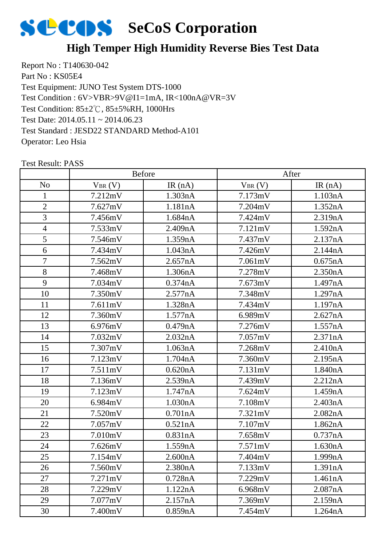

## **High Temper High Humidity Reverse Bies Test Data**

Report No : T140630-042 Part No : KS05E4 Test Equipment: JUNO Test System DTS-1000 Test Condition: 85±2℃, 85±5%RH, 1000Hrs Test Date: 2014.05.11 ~ 2014.06.23 Test Standard : JESD22 STANDARD Method-A101 Operator: Leo Hsia Test Condition : 6V>VBR>9V@I1=1mA, IR<100nA@VR=3V

|                |             | <b>Before</b> |             | After   |
|----------------|-------------|---------------|-------------|---------|
| N <sub>o</sub> | $V_{BR}(V)$ | IR $(nA)$     | $V_{BR}(V)$ | IR(nA)  |
| 1              | 7.212mV     | 1.303nA       | 7.173mV     | 1.103nA |
| $\overline{2}$ | 7.627mV     | 1.181nA       | 7.204mV     | 1.352nA |
| 3              | 7.456mV     | 1.684nA       | 7.424mV     | 2.319nA |
| $\overline{4}$ | 7.533mV     | 2.409nA       | 7.121mV     | 1.592nA |
| 5              | 7.546mV     | 1.359nA       | 7.437mV     | 2.137nA |
| 6              | 7.434mV     | 1.043nA       | 7.426mV     | 2.144nA |
| $\overline{7}$ | 7.562mV     | 2.657nA       | 7.061mV     | 0.675nA |
| 8              | 7.468mV     | 1.306nA       | 7.278mV     | 2.350nA |
| 9              | 7.034mV     | 0.374nA       | 7.673mV     | 1.497nA |
| 10             | 7.350mV     | 2.577nA       | 7.348mV     | 1.297nA |
| 11             | 7.611mV     | 1.328nA       | 7.434mV     | 1.197nA |
| 12             | 7.360mV     | 1.577nA       | 6.989mV     | 2.627nA |
| 13             | 6.976mV     | 0.479nA       | 7.276mV     | 1.557nA |
| 14             | 7.032mV     | 2.032nA       | 7.057mV     | 2.371nA |
| 15             | 7.307mV     | 1.063nA       | 7.268mV     | 2.410nA |
| 16             | 7.123mV     | 1.704nA       | 7.360mV     | 2.195nA |
| 17             | 7.511mV     | 0.620nA       | 7.131mV     | 1.840nA |
| 18             | 7.136mV     | 2.539nA       | 7.439mV     | 2.212nA |
| 19             | 7.123mV     | 1.747nA       | 7.624mV     | 1.459nA |
| 20             | 6.984mV     | 1.030nA       | 7.108mV     | 2.403nA |
| 21             | 7.520mV     | 0.701nA       | 7.321mV     | 2.082nA |
| 22             | 7.057mV     | 0.521nA       | 7.107mV     | 1.862nA |
| 23             | 7.010mV     | 0.831nA       | 7.658mV     | 0.737nA |
| 24             | 7.626mV     | 1.559nA       | 7.571mV     | 1.630nA |
| 25             | 7.154mV     | 2.600nA       | 7.404mV     | 1.999nA |
| 26             | 7.560mV     | 2.380nA       | 7.133mV     | 1.391nA |
| 27             | 7.271mV     | 0.728nA       | 7.229mV     | 1.461nA |
| 28             | 7.229mV     | 1.122nA       | 6.968mV     | 2.087nA |
| 29             | 7.077mV     | 2.157nA       | 7.369mV     | 2.159nA |
| 30             | 7.400mV     | 0.859nA       | 7.454mV     | 1.264nA |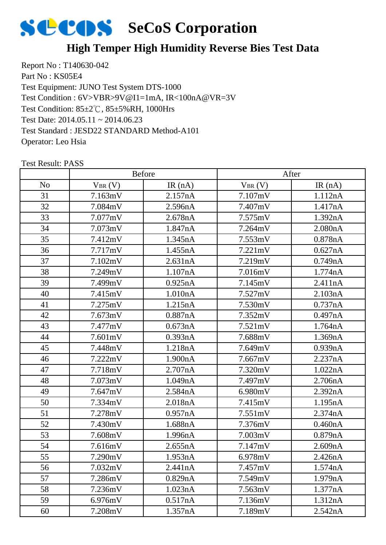

## **High Temper High Humidity Reverse Bies Test Data**

Report No : T140630-042 Part No : KS05E4 Test Equipment: JUNO Test System DTS-1000 Test Condition: 85±2℃, 85±5%RH, 1000Hrs Test Date: 2014.05.11 ~ 2014.06.23 Test Standard : JESD22 STANDARD Method-A101 Operator: Leo Hsia Test Condition : 6V>VBR>9V@I1=1mA, IR<100nA@VR=3V

|                |             | <b>Before</b> |                   | After   |
|----------------|-------------|---------------|-------------------|---------|
| N <sub>o</sub> | $V_{BR}(V)$ | IR $(nA)$     | $V_{BR}(V)$       | IR(nA)  |
| 31             | 7.163mV     | 2.157nA       | 7.107mV           | 1.112nA |
| 32             | 7.084mV     | 2.596nA       | 7.407mV           | 1.417nA |
| 33             | 7.077mV     | 2.678nA       | 7.575mV           | 1.392nA |
| 34             | 7.073mV     | 1.847nA       | 7.264mV           | 2.080nA |
| 35             | 7.412mV     | 1.345nA       | 7.553mV           | 0.878nA |
| 36             | 7.717mV     | 1.455nA       | $7.221 \text{mV}$ | 0.627nA |
| 37             | 7.102mV     | 2.631nA       | 7.219mV           | 0.749nA |
| 38             | 7.249mV     | 1.107nA       | 7.016mV           | 1.774nA |
| 39             | 7.499mV     | 0.925nA       | 7.145mV           | 2.411nA |
| 40             | 7.415mV     | 1.010nA       | 7.527mV           | 2.103nA |
| 41             | 7.275mV     | 1.215nA       | 7.530mV           | 0.737nA |
| 42             | 7.673mV     | 0.887nA       | 7.352mV           | 0.497nA |
| 43             | 7.477mV     | 0.673nA       | 7.521mV           | 1.764nA |
| 44             | 7.601mV     | 0.393nA       | 7.688mV           | 1.369nA |
| 45             | 7.448mV     | 1.218nA       | 7.649mV           | 0.939nA |
| 46             | 7.222mV     | 1.900nA       | 7.667mV           | 2.237nA |
| 47             | 7.718mV     | 2.707nA       | 7.320mV           | 1.022nA |
| 48             | 7.073mV     | 1.049nA       | 7.497mV           | 2.706nA |
| 49             | 7.647mV     | 2.584nA       | 6.980mV           | 2.392nA |
| 50             | 7.334mV     | 2.018nA       | 7.415mV           | 1.195nA |
| 51             | 7.278mV     | 0.957nA       | 7.551mV           | 2.374nA |
| 52             | 7.430mV     | 1.688nA       | 7.376mV           | 0.460nA |
| 53             | 7.608mV     | 1.996nA       | 7.003mV           | 0.879nA |
| 54             | 7.616mV     | 2.655nA       | 7.147mV           | 2.609nA |
| 55             | 7.290mV     | 1.953nA       | 6.978mV           | 2.426nA |
| 56             | 7.032mV     | 2.441nA       | 7.457mV           | 1.574nA |
| 57             | 7.286mV     | 0.829nA       | 7.549mV           | 1.979nA |
| 58             | 7.236mV     | 1.023nA       | 7.563mV           | 1.377nA |
| 59             | 6.976mV     | 0.517nA       | 7.136mV           | 1.312nA |
| 60             | 7.208mV     | 1.357nA       | 7.189mV           | 2.542nA |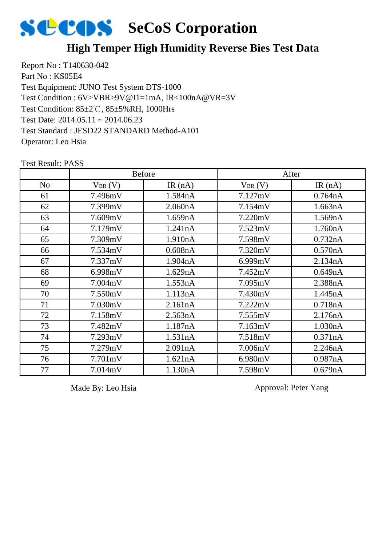

## **High Temper High Humidity Reverse Bies Test Data**

Report No : T140630-042 Part No : KS05E4 Test Equipment: JUNO Test System DTS-1000 Test Condition: 85±2℃, 85±5%RH, 1000Hrs Test Date: 2014.05.11 ~ 2014.06.23 Test Standard : JESD22 STANDARD Method-A101 Operator: Leo Hsia Test Condition : 6V>VBR>9V@I1=1mA, IR<100nA@VR=3V

|                |             | <b>Before</b> |             | After     |
|----------------|-------------|---------------|-------------|-----------|
| N <sub>o</sub> | $V_{BR}(V)$ | IR $(nA)$     | $V_{BR}(V)$ | IR $(nA)$ |
| 61             | 7.496mV     | 1.584nA       | 7.127mV     | 0.764nA   |
| 62             | 7.399mV     | 2.060nA       | 7.154mV     | 1.663nA   |
| 63             | 7.609mV     | 1.659nA       | 7.220mV     | 1.569nA   |
| 64             | 7.179mV     | 1.241nA       | 7.523mV     | 1.760nA   |
| 65             | 7.309mV     | 1.910nA       | 7.598mV     | 0.732nA   |
| 66             | 7.534mV     | 0.608nA       | 7.320mV     | 0.570nA   |
| 67             | 7.337mV     | 1.904nA       | 6.999mV     | 2.134nA   |
| 68             | 6.998mV     | 1.629nA       | 7.452mV     | 0.649nA   |
| 69             | 7.004mV     | 1.553nA       | 7.095mV     | 2.388nA   |
| 70             | 7.550mV     | 1.113nA       | 7.430mV     | 1.445nA   |
| 71             | 7.030mV     | 2.161nA       | 7.222mV     | 0.718nA   |
| 72             | 7.158mV     | 2.563nA       | 7.555mV     | 2.176nA   |
| 73             | 7.482mV     | 1.187nA       | 7.163mV     | 1.030nA   |
| 74             | 7.293mV     | 1.531nA       | 7.518mV     | 0.371nA   |
| 75             | 7.279mV     | 2.091nA       | 7.006mV     | 2.246nA   |
| 76             | 7.701mV     | 1.621nA       | 6.980mV     | 0.987nA   |
| 77             | 7.014mV     | 1.130nA       | 7.598mV     | 0.679nA   |

Test Result: PASS